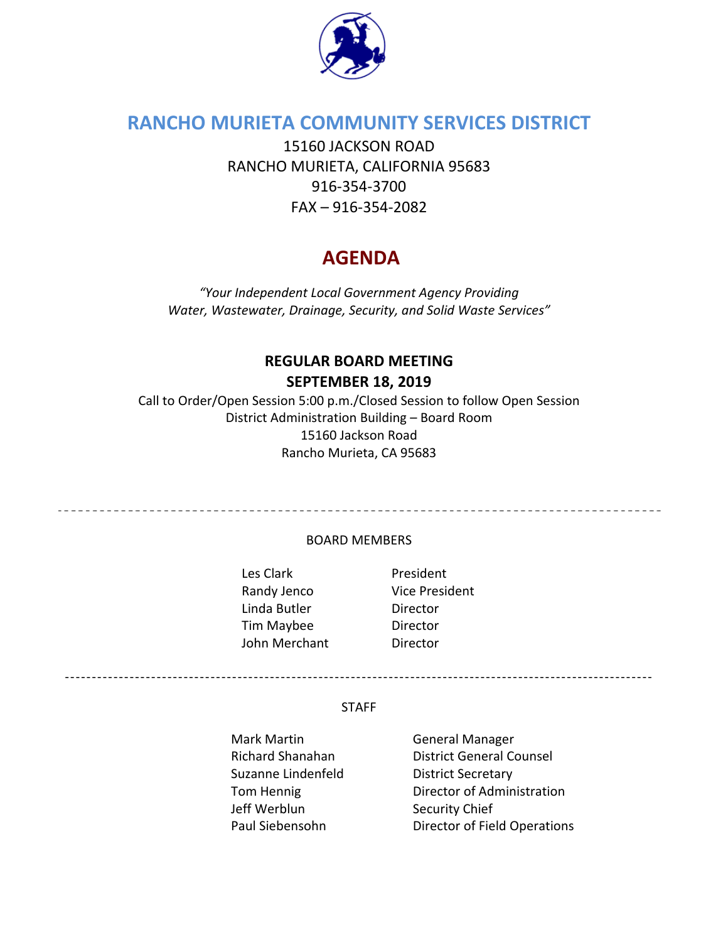

# **RANCHO MURIETA COMMUNITY SERVICES DISTRICT**

15160 JACKSON ROAD RANCHO MURIETA, CALIFORNIA 95683 916‐354‐3700 FAX – 916‐354‐2082

# **AGENDA**

*"Your Independent Local Government Agency Providing Water, Wastewater, Drainage, Security, and Solid Waste Services"*

## **REGULAR BOARD MEETING SEPTEMBER 18, 2019**

Call to Order/Open Session 5:00 p.m./Closed Session to follow Open Session District Administration Building – Board Room 15160 Jackson Road Rancho Murieta, CA 95683

BOARD MEMBERS

Les Clark **Caracter Exercise President** Randy Jenco Vice President Linda Butler **Director** Tim Maybee Director John Merchant **Director** 

-------------------------------------------------------------------------------------------------------------

#### **STAFF**

Mark Martin **Mark Manager CENNA** Suzanne Lindenfeld **District Secretary** Jeff Werblun Security Chief

Richard Shanahan District General Counsel Tom Hennig **Director of Administration** Paul Siebensohn Director of Field Operations

--------------------------------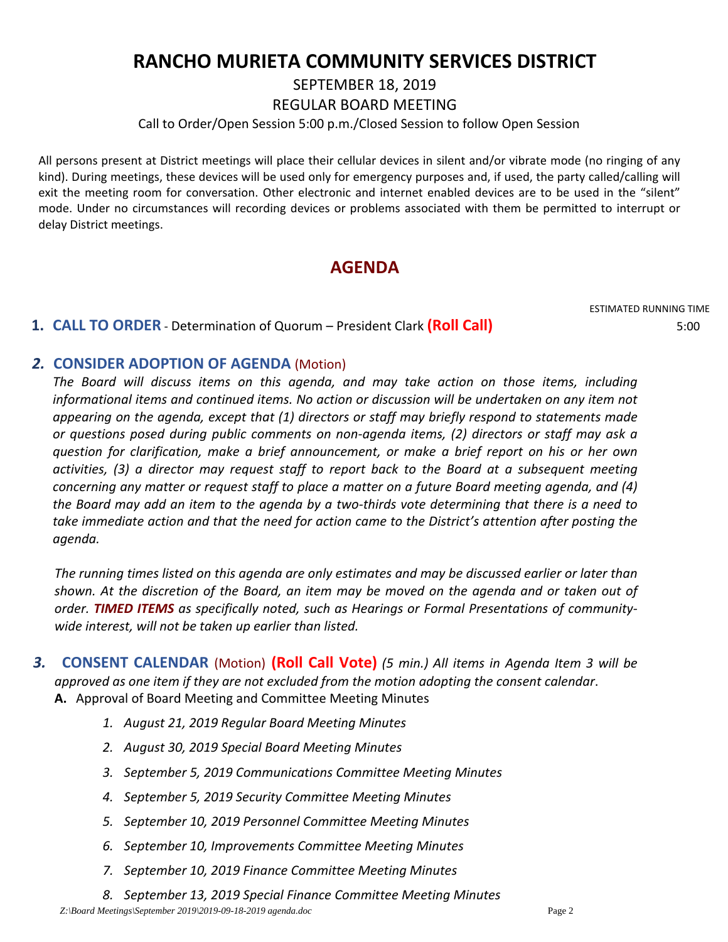# **RANCHO MURIETA COMMUNITY SERVICES DISTRICT**

SEPTEMBER 18, 2019

REGULAR BOARD MEETING

Call to Order/Open Session 5:00 p.m./Closed Session to follow Open Session

All persons present at District meetings will place their cellular devices in silent and/or vibrate mode (no ringing of any kind). During meetings, these devices will be used only for emergency purposes and, if used, the party called/calling will exit the meeting room for conversation. Other electronic and internet enabled devices are to be used in the "silent" mode. Under no circumstances will recording devices or problems associated with them be permitted to interrupt or delay District meetings.

# **AGENDA**

ESTIMATED RUNNING TIME

### **1. CALL TO ORDER** ‐ Determination of Quorum – President Clark **(Roll Call)** 5:00

#### *2.* **CONSIDER ADOPTION OF AGENDA** (Motion)

*The Board will discuss items on this agenda, and may take action on those items, including informational items and continued items. No action or discussion will be undertaken on any item not appearing on the agenda, except that (1) directors or staff may briefly respond to statements made or questions posed during public comments on non‐agenda items, (2) directors or staff may ask a question for clarification, make a brief announcement, or make a brief report on his or her own activities, (3) a director may request staff to report back to the Board at a subsequent meeting concerning any matter or request staff to place a matter on a future Board meeting agenda, and (4)* the Board may add an item to the agenda by a two-thirds vote determining that there is a need to *take immediate action and that the need for action came to the District's attention after posting the agenda.*

The running times listed on this agenda are only estimates and may be discussed earlier or later than shown. At the discretion of the Board, an item may be moved on the agenda and or taken out of *order. TIMED ITEMS as specifically noted, such as Hearings or Formal Presentations of community‐ wide interest, will not be taken up earlier than listed.*

- *3.*  **CONSENT CALENDAR** (Motion) **(Roll Call Vote)** *(5 min.) All items in Agenda Item 3 will be approved as one item if they are not excluded from the motion adopting the consent calendar*. **A.** Approval of Board Meeting and Committee Meeting Minutes
	- *1. August 21, 2019 Regular Board Meeting Minutes*
	- *2. August 30, 2019 Special Board Meeting Minutes*
	- *3. September 5, 2019 Communications Committee Meeting Minutes*
	- *4. September 5, 2019 Security Committee Meeting Minutes*
	- *5. September 10, 2019 Personnel Committee Meeting Minutes*
	- *6. September 10, Improvements Committee Meeting Minutes*
	- *7. September 10, 2019 Finance Committee Meeting Minutes*
	- *8. September 13, 2019 Special Finance Committee Meeting Minutes*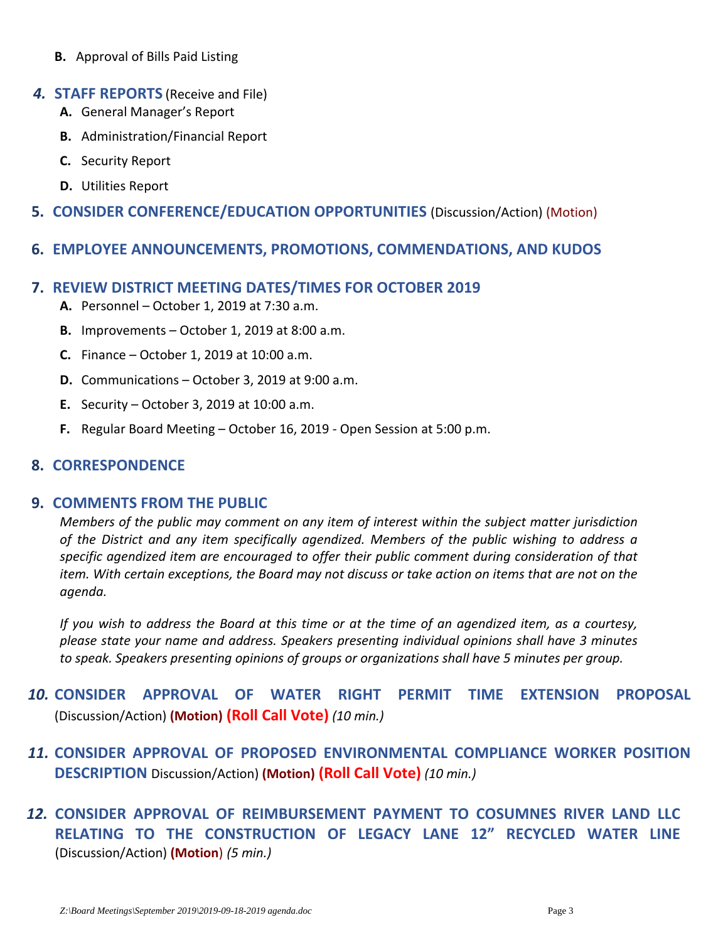- **B.** Approval of Bills Paid Listing
- *4.* **STAFF REPORTS** (Receive and File)
	- **A.** General Manager's Report
	- **B.** Administration/Financial Report
	- **C.** Security Report
	- **D.** Utilities Report
- **5. CONSIDER CONFERENCE/EDUCATION OPPORTUNITIES** (Discussion/Action) (Motion)
- **6. EMPLOYEE ANNOUNCEMENTS, PROMOTIONS, COMMENDATIONS, AND KUDOS**

## **7. REVIEW DISTRICT MEETING DATES/TIMES FOR OCTOBER 2019**

- **A.** Personnel October 1, 2019 at 7:30 a.m.
- **B.** Improvements October 1, 2019 at 8:00 a.m.
- **C.** Finance October 1, 2019 at 10:00 a.m.
- **D.** Communications October 3, 2019 at 9:00 a.m.
- **E.** Security October 3, 2019 at 10:00 a.m.
- **F.** Regular Board Meeting October 16, 2019 ‐ Open Session at 5:00 p.m.

# **8. CORRESPONDENCE**

### **9. COMMENTS FROM THE PUBLIC**

*Members of the public may comment on any item of interest within the subject matter jurisdiction of the District and any item specifically agendized. Members of the public wishing to address a specific agendized item are encouraged to offer their public comment during consideration of that* item. With certain exceptions, the Board may not discuss or take action on items that are not on the *agenda.* 

If you wish to address the Board at this time or at the time of an agendized item, as a courtesy, *please state your name and address. Speakers presenting individual opinions shall have 3 minutes to speak. Speakers presenting opinions of groups or organizations shall have 5 minutes per group.*

- *10.* **CONSIDER APPROVAL OF WATER RIGHT PERMIT TIME EXTENSION PROPOSAL** (Discussion/Action) **(Motion) (Roll Call Vote)** *(10 min.)*
- *11.* **CONSIDER APPROVAL OF PROPOSED ENVIRONMENTAL COMPLIANCE WORKER POSITION DESCRIPTION** Discussion/Action) **(Motion) (Roll Call Vote)** *(10 min.)*
- *12.* **CONSIDER APPROVAL OF REIMBURSEMENT PAYMENT TO COSUMNES RIVER LAND LLC RELATING TO THE CONSTRUCTION OF LEGACY LANE 12" RECYCLED WATER LINE** (Discussion/Action) **(Motion**) *(5 min.)*